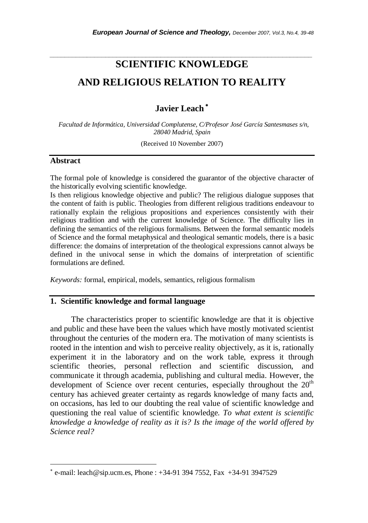# **SCIENTIFIC KNOWLEDGE AND RELIGIOUS RELATION TO REALITY**

*\_\_\_\_\_\_\_\_\_\_\_\_\_\_\_\_\_\_\_\_\_\_\_\_\_\_\_\_\_\_\_\_\_\_\_\_\_\_\_\_\_\_\_\_\_\_\_\_\_\_\_\_\_\_\_\_\_\_\_\_\_\_\_\_\_\_\_\_\_\_\_* 

# **Javier Leach** <sup>∗</sup>

 *Facultad de Informática, Universidad Complutense, C/Profesor José García Santesmases s/n, 28040 Madrid, Spain* 

(Received 10 November 2007)

#### **Abstract**

l

The formal pole of knowledge is considered the guarantor of the objective character of the historically evolving scientific knowledge.

Is then religious knowledge objective and public? The religious dialogue supposes that the content of faith is public. Theologies from different religious traditions endeavour to rationally explain the religious propositions and experiences consistently with their religious tradition and with the current knowledge of Science. The difficulty lies in defining the semantics of the religious formalisms. Between the formal semantic models of Science and the formal metaphysical and theological semantic models, there is a basic difference: the domains of interpretation of the theological expressions cannot always be defined in the univocal sense in which the domains of interpretation of scientific formulations are defined.

*Keywords:* formal, empirical, models, semantics, religious formalism

# **1. Scientific knowledge and formal language**

The characteristics proper to scientific knowledge are that it is objective and public and these have been the values which have mostly motivated scientist throughout the centuries of the modern era. The motivation of many scientists is rooted in the intention and wish to perceive reality objectively, as it is, rationally experiment it in the laboratory and on the work table, express it through scientific theories, personal reflection and scientific discussion, and communicate it through academia, publishing and cultural media. However, the development of Science over recent centuries, especially throughout the  $20<sup>th</sup>$ century has achieved greater certainty as regards knowledge of many facts and, on occasions, has led to our doubting the real value of scientific knowledge and questioning the real value of scientific knowledge. *To what extent is scientific knowledge a knowledge of reality as it is? Is the image of the world offered by Science real?* 

<sup>∗</sup> e-mail: leach@sip.ucm.es, Phone : +34-91 394 7552, Fax +34-91 3947529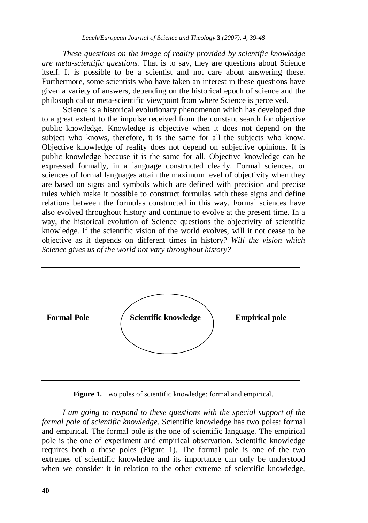*These questions on the image of reality provided by scientific knowledge are meta-scientific questions.* That is to say, they are questions about Science itself. It is possible to be a scientist and not care about answering these. Furthermore, some scientists who have taken an interest in these questions have given a variety of answers, depending on the historical epoch of science and the philosophical or meta-scientific viewpoint from where Science is perceived.

Science is a historical evolutionary phenomenon which has developed due to a great extent to the impulse received from the constant search for objective public knowledge. Knowledge is objective when it does not depend on the subject who knows, therefore, it is the same for all the subjects who know. Objective knowledge of reality does not depend on subjective opinions. It is public knowledge because it is the same for all. Objective knowledge can be expressed formally, in a language constructed clearly. Formal sciences, or sciences of formal languages attain the maximum level of objectivity when they are based on signs and symbols which are defined with precision and precise rules which make it possible to construct formulas with these signs and define relations between the formulas constructed in this way. Formal sciences have also evolved throughout history and continue to evolve at the present time. In a way, the historical evolution of Science questions the objectivity of scientific knowledge. If the scientific vision of the world evolves, will it not cease to be objective as it depends on different times in history? *Will the vision which Science gives us of the world not vary throughout history?* 



**Figure 1.** Two poles of scientific knowledge: formal and empirical.

*I am going to respond to these questions with the special support of the formal pole of scientific knowledge*. Scientific knowledge has two poles: formal and empirical. The formal pole is the one of scientific language. The empirical pole is the one of experiment and empirical observation. Scientific knowledge requires both o these poles (Figure 1). The formal pole is one of the two extremes of scientific knowledge and its importance can only be understood when we consider it in relation to the other extreme of scientific knowledge,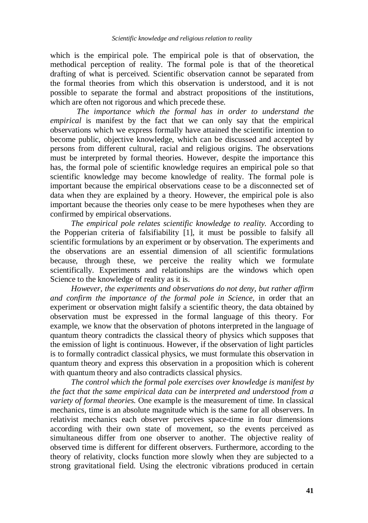which is the empirical pole. The empirical pole is that of observation, the methodical perception of reality. The formal pole is that of the theoretical drafting of what is perceived. Scientific observation cannot be separated from the formal theories from which this observation is understood, and it is not possible to separate the formal and abstract propositions of the institutions, which are often not rigorous and which precede these.

*The importance which the formal has in order to understand the empirical* is manifest by the fact that we can only say that the empirical observations which we express formally have attained the scientific intention to become public, objective knowledge, which can be discussed and accepted by persons from different cultural, racial and religious origins. The observations must be interpreted by formal theories. However, despite the importance this has, the formal pole of scientific knowledge requires an empirical pole so that scientific knowledge may become knowledge of reality. The formal pole is important because the empirical observations cease to be a disconnected set of data when they are explained by a theory. However, the empirical pole is also important because the theories only cease to be mere hypotheses when they are confirmed by empirical observations.

*The empirical pole relates scientific knowledge to reality.* According to the Popperian criteria of falsifiability [1], it must be possible to falsify all scientific formulations by an experiment or by observation. The experiments and the observations are an essential dimension of all scientific formulations because, through these, we perceive the reality which we formulate scientifically. Experiments and relationships are the windows which open Science to the knowledge of reality as it is.

*However, the experiments and observations do not deny, but rather affirm and confirm the importance of the formal pole in Science,* in order that an experiment or observation might falsify a scientific theory, the data obtained by observation must be expressed in the formal language of this theory. For example, we know that the observation of photons interpreted in the language of quantum theory contradicts the classical theory of physics which supposes that the emission of light is continuous. However, if the observation of light particles is to formally contradict classical physics, we must formulate this observation in quantum theory and express this observation in a proposition which is coherent with quantum theory and also contradicts classical physics.

*The control which the formal pole exercises over knowledge is manifest by the fact that the same empirical data can be interpreted and understood from a variety of formal theories.* One example is the measurement of time. In classical mechanics, time is an absolute magnitude which is the same for all observers. In relativist mechanics each observer perceives space-time in four dimensions according with their own state of movement, so the events perceived as simultaneous differ from one observer to another. The objective reality of observed time is different for different observers. Furthermore, according to the theory of relativity, clocks function more slowly when they are subjected to a strong gravitational field. Using the electronic vibrations produced in certain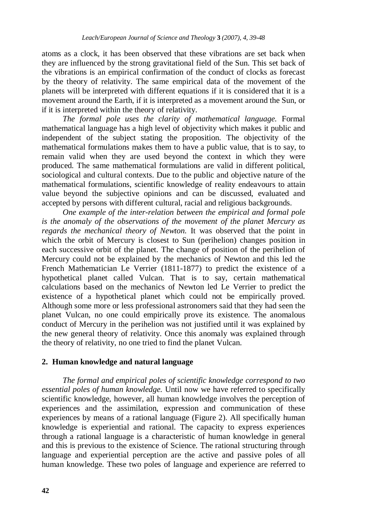atoms as a clock, it has been observed that these vibrations are set back when they are influenced by the strong gravitational field of the Sun. This set back of the vibrations is an empirical confirmation of the conduct of clocks as forecast by the theory of relativity. The same empirical data of the movement of the planets will be interpreted with different equations if it is considered that it is a movement around the Earth, if it is interpreted as a movement around the Sun, or if it is interpreted within the theory of relativity.

*The formal pole uses the clarity of mathematical language.* Formal mathematical language has a high level of objectivity which makes it public and independent of the subject stating the proposition. The objectivity of the mathematical formulations makes them to have a public value, that is to say, to remain valid when they are used beyond the context in which they were produced. The same mathematical formulations are valid in different political, sociological and cultural contexts. Due to the public and objective nature of the mathematical formulations, scientific knowledge of reality endeavours to attain value beyond the subjective opinions and can be discussed, evaluated and accepted by persons with different cultural, racial and religious backgrounds.

*One example of the inter-relation between the empirical and formal pole is the anomaly of the observations of the movement of the planet Mercury as regards the mechanical theory of Newton.* It was observed that the point in which the orbit of Mercury is closest to Sun (perihelion) changes position in each successive orbit of the planet. The change of position of the perihelion of Mercury could not be explained by the mechanics of Newton and this led the French Mathematician Le Verrier (1811-1877) to predict the existence of a hypothetical planet called Vulcan. That is to say, certain mathematical calculations based on the mechanics of Newton led Le Verrier to predict the existence of a hypothetical planet which could not be empirically proved. Although some more or less professional astronomers said that they had seen the planet Vulcan, no one could empirically prove its existence. The anomalous conduct of Mercury in the perihelion was not justified until it was explained by the new general theory of relativity. Once this anomaly was explained through the theory of relativity, no one tried to find the planet Vulcan.

# **2. Human knowledge and natural language**

*The formal and empirical poles of scientific knowledge correspond to two essential poles of human knowledge.* Until now we have referred to specifically scientific knowledge, however, all human knowledge involves the perception of experiences and the assimilation, expression and communication of these experiences by means of a rational language (Figure 2). All specifically human knowledge is experiential and rational. The capacity to express experiences through a rational language is a characteristic of human knowledge in general and this is previous to the existence of Science. The rational structuring through language and experiential perception are the active and passive poles of all human knowledge. These two poles of language and experience are referred to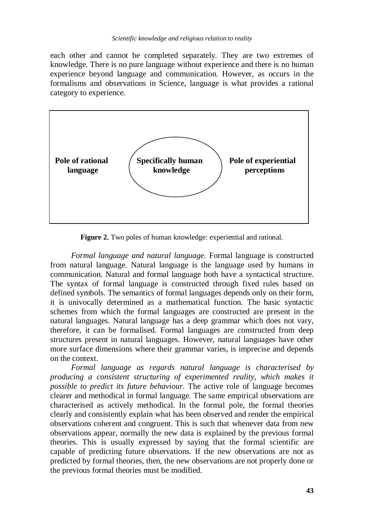each other and cannot be completed separately. They are two extremes of knowledge. There is no pure language without experience and there is no human experience beyond language and communication. However, as occurs in the formalisms and observations in Science, language is what provides a rational category to experience.



**Figure 2.** Two poles of human knowledge: experiential and rational.

 *Formal language and natural language.* Formal language is constructed from natural language. Natural language is the language used by humans in communication. Natural and formal language both have a syntactical structure. The syntax of formal language is constructed through fixed rules based on defined symbols. The semantics of formal languages depends only on their form, it is univocally determined as a mathematical function. The basic syntactic schemes from which the formal languages are constructed are present in the natural languages. Natural language has a deep grammar which does not vary, therefore, it can be formalised. Formal languages are constructed from deep structures present in natural languages. However, natural languages have other more surface dimensions where their grammar varies, is imprecise and depends on the context.

 *Formal language as regards natural language is characterised by producing a consistent structuring of experimented reality, which makes it possible to predict its future behaviour.* The active role of language becomes clearer and methodical in formal language. The same empirical observations are characterised as actively methodical. In the formal pole, the formal theories clearly and consistently explain what has been observed and render the empirical observations coherent and congruent. This is such that whenever data from new observations appear, normally the new data is explained by the previous formal theories. This is usually expressed by saying that the formal scientific are capable of predicting future observations. If the new observations are not as predicted by formal theories, then, the new observations are not properly done or the previous formal theories must be modified.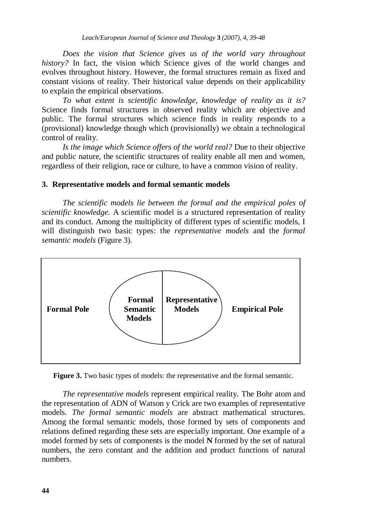*Does the vision that Science gives us of the world vary throughout history?* In fact, the vision which Science gives of the world changes and evolves throughout history. However, the formal structures remain as fixed and constant visions of reality. Their historical value depends on their applicability to explain the empirical observations.

 *To what extent is scientific knowledge, knowledge of reality as it is?*  Science finds formal structures in observed reality which are objective and public. The formal structures which science finds in reality responds to a (provisional) knowledge though which (provisionally) we obtain a technological control of reality.

 *Is the image which Science offers of the world real?* Due to their objective and public nature, the scientific structures of reality enable all men and women, regardless of their religion, race or culture, to have a common vision of reality.

#### **3. Representative models and formal semantic models**

 *The scientific models lie between the formal and the empirical poles of scientific knowledge.* A scientific model is a structured representation of reality and its conduct. Among the multiplicity of different types of scientific models, I will distinguish two basic types: the *representative models* and the *formal semantic models* (Figure 3).



**Figure 3.** Two basic types of models: the representative and the formal semantic.

*The representative models* represent empirical reality. The Bohr atom and the representation of ADN of Watson y Crick are two examples of representative models. *The formal semantic models* are abstract mathematical structures. Among the formal semantic models, those formed by sets of components and relations defined regarding these sets are especially important. One example of a model formed by sets of components is the model **N** formed by the set of natural numbers, the zero constant and the addition and product functions of natural numbers.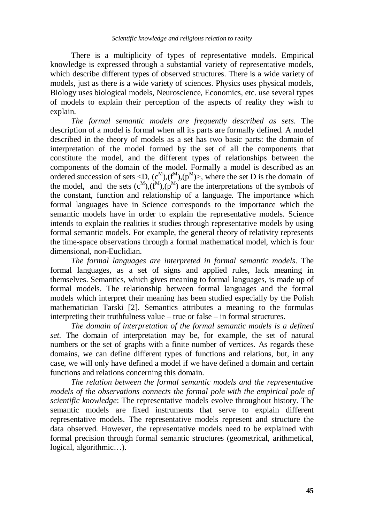There is a multiplicity of types of representative models. Empirical knowledge is expressed through a substantial variety of representative models, which describe different types of observed structures. There is a wide variety of models, just as there is a wide variety of sciences. Physics uses physical models, Biology uses biological models, Neuroscience, Economics, etc. use several types of models to explain their perception of the aspects of reality they wish to explain.

*The formal semantic models are frequently described as sets.* The description of a model is formal when all its parts are formally defined. A model described in the theory of models as a set has two basic parts: the domain of interpretation of the model formed by the set of all the components that constitute the model, and the different types of relationships between the components of the domain of the model. Formally a model is described as an ordered succession of sets <D,  $(c^M)$ ,  $(f^M)$ ,  $(p^M)$ >, where the set D is the domain of the model, and the sets  $(c^M)$ , $(f^M)$ , $(p^M)$  are the interpretations of the symbols of the constant, function and relationship of a language. The importance which formal languages have in Science corresponds to the importance which the semantic models have in order to explain the representative models. Science intends to explain the realities it studies through representative models by using formal semantic models. For example, the general theory of relativity represents the time-space observations through a formal mathematical model, which is four dimensional, non-Euclidian.

*The formal languages are interpreted in formal semantic models*. The formal languages, as a set of signs and applied rules, lack meaning in themselves. Semantics, which gives meaning to formal languages, is made up of formal models. The relationship between formal languages and the formal models which interpret their meaning has been studied especially by the Polish mathematician Tarski [2]. Semantics attributes a meaning to the formulas interpreting their truthfulness value – true or false – in formal structures.

*The domain of interpretation of the formal semantic models is a defined set.* The domain of interpretation may be, for example, the set of natural numbers or the set of graphs with a finite number of vertices. As regards these domains, we can define different types of functions and relations, but, in any case, we will only have defined a model if we have defined a domain and certain functions and relations concerning this domain.

*The relation between the formal semantic models and the representative models of the observations connects the formal pole with the empirical pole of scientific knowledge*: The representative models evolve throughout history. The semantic models are fixed instruments that serve to explain different representative models. The representative models represent and structure the data observed. However, the representative models need to be explained with formal precision through formal semantic structures (geometrical, arithmetical, logical, algorithmic…).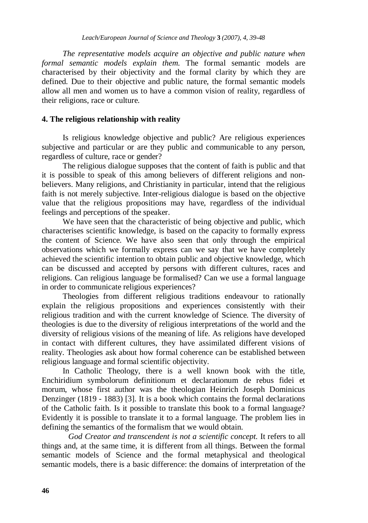*The representative models acquire an objective and public nature when formal semantic models explain them.* The formal semantic models are characterised by their objectivity and the formal clarity by which they are defined. Due to their objective and public nature, the formal semantic models allow all men and women us to have a common vision of reality, regardless of their religions, race or culture.

## **4. The religious relationship with reality**

Is religious knowledge objective and public? Are religious experiences subjective and particular or are they public and communicable to any person, regardless of culture, race or gender?

The religious dialogue supposes that the content of faith is public and that it is possible to speak of this among believers of different religions and nonbelievers. Many religions, and Christianity in particular, intend that the religious faith is not merely subjective. Inter-religious dialogue is based on the objective value that the religious propositions may have, regardless of the individual feelings and perceptions of the speaker.

We have seen that the characteristic of being objective and public, which characterises scientific knowledge, is based on the capacity to formally express the content of Science. We have also seen that only through the empirical observations which we formally express can we say that we have completely achieved the scientific intention to obtain public and objective knowledge, which can be discussed and accepted by persons with different cultures, races and religions. Can religious language be formalised? Can we use a formal language in order to communicate religious experiences?

Theologies from different religious traditions endeavour to rationally explain the religious propositions and experiences consistently with their religious tradition and with the current knowledge of Science. The diversity of theologies is due to the diversity of religious interpretations of the world and the diversity of religious visions of the meaning of life. As religions have developed in contact with different cultures, they have assimilated different visions of reality. Theologies ask about how formal coherence can be established between religious language and formal scientific objectivity.

In Catholic Theology, there is a well known book with the title, Enchiridium symbolorum definitionum et declarationum de rebus fidei et morum, whose first author was the theologian Heinrich Joseph Dominicus Denzinger (1819 - 1883) [3]. It is a book which contains the formal declarations of the Catholic faith. Is it possible to translate this book to a formal language? Evidently it is possible to translate it to a formal language. The problem lies in defining the semantics of the formalism that we would obtain.

*God Creator and transcendent is not a scientific concept.* It refers to all things and, at the same time, it is different from all things. Between the formal semantic models of Science and the formal metaphysical and theological semantic models, there is a basic difference: the domains of interpretation of the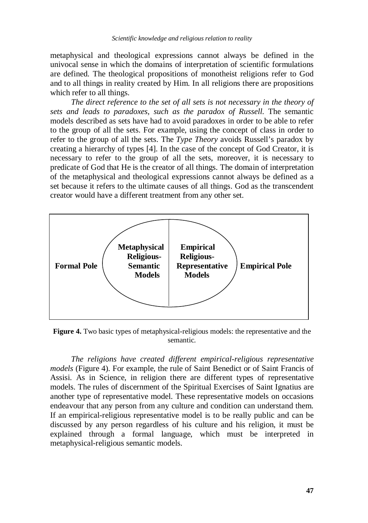metaphysical and theological expressions cannot always be defined in the univocal sense in which the domains of interpretation of scientific formulations are defined. The theological propositions of monotheist religions refer to God and to all things in reality created by Him. In all religions there are propositions which refer to all things.

*The direct reference to the set of all sets is not necessary in the theory of sets and leads to paradoxes, such as the paradox of Russell.* The semantic models described as sets have had to avoid paradoxes in order to be able to refer to the group of all the sets. For example, using the concept of class in order to refer to the group of all the sets. The *Type Theory* avoids Russell's paradox by creating a hierarchy of types [4]. In the case of the concept of God Creator, it is necessary to refer to the group of all the sets, moreover, it is necessary to predicate of God that He is the creator of all things. The domain of interpretation of the metaphysical and theological expressions cannot always be defined as a set because it refers to the ultimate causes of all things. God as the transcendent creator would have a different treatment from any other set.



**Figure 4.** Two basic types of metaphysical-religious models: the representative and the semantic.

*The religions have created different empirical-religious representative models* (Figure 4). For example, the rule of Saint Benedict or of Saint Francis of Assisi. As in Science, in religion there are different types of representative models. The rules of discernment of the Spiritual Exercises of Saint Ignatius are another type of representative model. These representative models on occasions endeavour that any person from any culture and condition can understand them. If an empirical-religious representative model is to be really public and can be discussed by any person regardless of his culture and his religion, it must be explained through a formal language, which must be interpreted in metaphysical-religious semantic models.